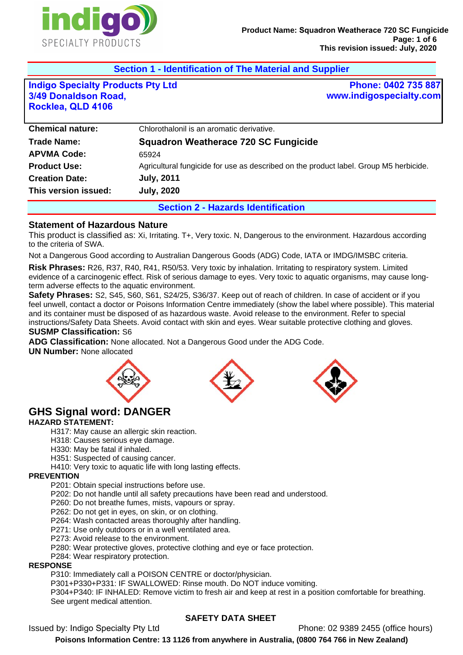

**Section 1 - Identification of The Material and Supplier** 

# **Indigo Specialty Products Pty Ltd 3/49 Donaldson Road, Rocklea, QLD 4106**

# **Phone: 0402 735 887 www.indigospecialty.com**

|                         | <b>Section 2 - Hazards Identification</b>                                             |  |
|-------------------------|---------------------------------------------------------------------------------------|--|
| This version issued:    | <b>July, 2020</b>                                                                     |  |
| <b>Creation Date:</b>   | <b>July, 2011</b>                                                                     |  |
| <b>Product Use:</b>     | Agricultural fungicide for use as described on the product label. Group M5 herbicide. |  |
| <b>APVMA Code:</b>      | 65924                                                                                 |  |
| <b>Trade Name:</b>      | <b>Squadron Weatherace 720 SC Fungicide</b>                                           |  |
| <b>Chemical nature:</b> | Chlorothalonil is an aromatic derivative.                                             |  |

# **Statement of Hazardous Nature**

This product is classified as: Xi, Irritating. T+, Very toxic. N, Dangerous to the environment. Hazardous according to the criteria of SWA.

Not a Dangerous Good according to Australian Dangerous Goods (ADG) Code, IATA or IMDG/IMSBC criteria.

**Risk Phrases:** R26, R37, R40, R41, R50/53. Very toxic by inhalation. Irritating to respiratory system. Limited evidence of a carcinogenic effect. Risk of serious damage to eyes. Very toxic to aquatic organisms, may cause longterm adverse effects to the aquatic environment.

**Safety Phrases:** S2, S45, S60, S61, S24/25, S36/37. Keep out of reach of children. In case of accident or if you feel unwell, contact a doctor or Poisons Information Centre immediately (show the label where possible). This material and its container must be disposed of as hazardous waste. Avoid release to the environment. Refer to special instructions/Safety Data Sheets. Avoid contact with skin and eyes. Wear suitable protective clothing and gloves.

#### **SUSMP Classification:** S6

**ADG Classification:** None allocated. Not a Dangerous Good under the ADG Code.

#### **UN Number:** None allocated







# **GHS Signal word: DANGER**

#### **HAZARD STATEMENT:**

H317: May cause an allergic skin reaction.

H318: Causes serious eye damage.

- H330: May be fatal if inhaled.
- H351: Suspected of causing cancer.
- H410: Very toxic to aquatic life with long lasting effects.

#### **PREVENTION**

P201: Obtain special instructions before use.

P202: Do not handle until all safety precautions have been read and understood.

P260: Do not breathe fumes, mists, vapours or spray.

P262: Do not get in eyes, on skin, or on clothing.

P264: Wash contacted areas thoroughly after handling.

P271: Use only outdoors or in a well ventilated area.

P273: Avoid release to the environment.

P280: Wear protective gloves, protective clothing and eye or face protection.

P284: Wear respiratory protection.

#### **RESPONSE**

P310: Immediately call a POISON CENTRE or doctor/physician.

P301+P330+P331: IF SWALLOWED: Rinse mouth. Do NOT induce vomiting.

P304+P340: IF INHALED: Remove victim to fresh air and keep at rest in a position comfortable for breathing. See urgent medical attention.

# **SAFETY DATA SHEET**

Issued by: Indigo Specialty Pty Ltd Phone: 02 9389 2455 (office hours)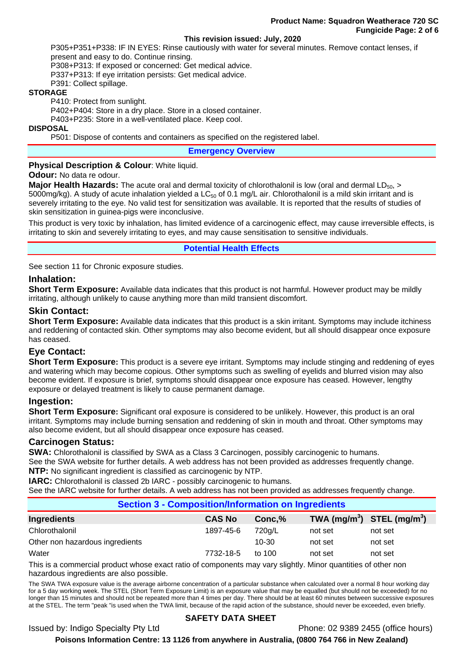#### **This revision issued: July, 2020**

P305+P351+P338: IF IN EYES: Rinse cautiously with water for several minutes. Remove contact lenses, if present and easy to do. Continue rinsing.

P308+P313: If exposed or concerned: Get medical advice.

P337+P313: If eye irritation persists: Get medical advice.

P391: Collect spillage.

## **STORAGE**

P410: Protect from sunlight.

P402+P404: Store in a dry place. Store in a closed container.

P403+P235: Store in a well-ventilated place. Keep cool.

#### **DISPOSAL**

P501: Dispose of contents and containers as specified on the registered label.

**Emergency Overview** 

#### **Physical Description & Colour: White liquid.**

#### **Odour:** No data re odour.

**Major Health Hazards:** The acute oral and dermal toxicity of chlorothalonil is low (oral and dermal LD<sub>50</sub>, > 5000mg/kg). A study of acute inhalation yielded a  $LC_{50}$  of 0.1 mg/L air. Chlorothalonil is a mild skin irritant and is severely irritating to the eye. No valid test for sensitization was available. It is reported that the results of studies of skin sensitization in guinea-pigs were inconclusive.

This product is very toxic by inhalation, has limited evidence of a carcinogenic effect, may cause irreversible effects, is irritating to skin and severely irritating to eyes, and may cause sensitisation to sensitive individuals.

## **Potential Health Effects**

See section 11 for Chronic exposure studies.

## **Inhalation:**

**Short Term Exposure:** Available data indicates that this product is not harmful. However product may be mildly irritating, although unlikely to cause anything more than mild transient discomfort.

#### **Skin Contact:**

**Short Term Exposure:** Available data indicates that this product is a skin irritant. Symptoms may include itchiness and reddening of contacted skin. Other symptoms may also become evident, but all should disappear once exposure has ceased.

## **Eye Contact:**

**Short Term Exposure:** This product is a severe eye irritant. Symptoms may include stinging and reddening of eyes and watering which may become copious. Other symptoms such as swelling of eyelids and blurred vision may also become evident. If exposure is brief, symptoms should disappear once exposure has ceased. However, lengthy exposure or delayed treatment is likely to cause permanent damage.

## **Ingestion:**

**Short Term Exposure:** Significant oral exposure is considered to be unlikely. However, this product is an oral irritant. Symptoms may include burning sensation and reddening of skin in mouth and throat. Other symptoms may also become evident, but all should disappear once exposure has ceased.

#### **Carcinogen Status:**

**SWA:** Chlorothalonil is classified by SWA as a Class 3 Carcinogen, possibly carcinogenic to humans. See the SWA website for further details. A web address has not been provided as addresses frequently change. **NTP:** No significant ingredient is classified as carcinogenic by NTP.

**IARC:** Chlorothalonil is classed 2b IARC - possibly carcinogenic to humans.

See the IARC website for further details. A web address has not been provided as addresses frequently change.

| <b>Section 3 - Composition/Information on Ingredients</b> |               |          |                                                    |         |  |
|-----------------------------------------------------------|---------------|----------|----------------------------------------------------|---------|--|
| Ingredients                                               | <b>CAS No</b> | Conc, %  | TWA (mg/m <sup>3</sup> ) STEL (mg/m <sup>3</sup> ) |         |  |
| Chlorothalonil                                            | 1897-45-6     | 720g/L   | not set                                            | not set |  |
| Other non hazardous ingredients                           |               | 10-30    | not set                                            | not set |  |
| Water                                                     | 7732-18-5     | to $100$ | not set                                            | not set |  |

This is a commercial product whose exact ratio of components may vary slightly. Minor quantities of other non hazardous ingredients are also possible.

The SWA TWA exposure value is the average airborne concentration of a particular substance when calculated over a normal 8 hour working day for a 5 day working week. The STEL (Short Term Exposure Limit) is an exposure value that may be equalled (but should not be exceeded) for no longer than 15 minutes and should not be repeated more than 4 times per day. There should be at least 60 minutes between successive exposures at the STEL. The term "peak "is used when the TWA limit, because of the rapid action of the substance, should never be exceeded, even briefly.

## **SAFETY DATA SHEET**

Issued by: Indigo Specialty Pty Ltd Phone: 02 9389 2455 (office hours)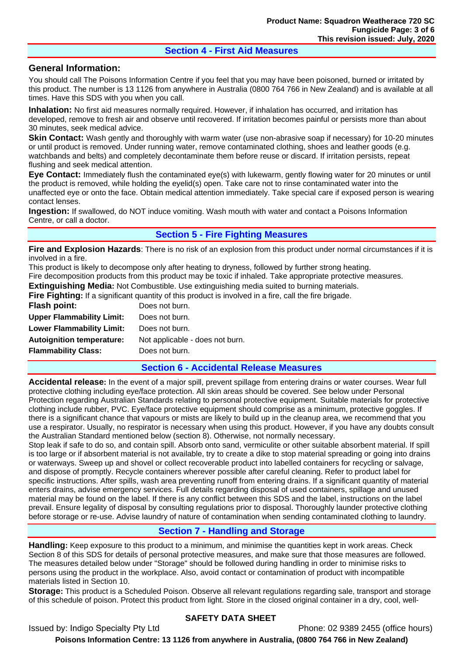## **Section 4 - First Aid Measures**

## **General Information:**

You should call The Poisons Information Centre if you feel that you may have been poisoned, burned or irritated by this product. The number is 13 1126 from anywhere in Australia (0800 764 766 in New Zealand) and is available at all times. Have this SDS with you when you call.

**Inhalation:** No first aid measures normally required. However, if inhalation has occurred, and irritation has developed, remove to fresh air and observe until recovered. If irritation becomes painful or persists more than about 30 minutes, seek medical advice.

**Skin Contact:** Wash gently and thoroughly with warm water (use non-abrasive soap if necessary) for 10-20 minutes or until product is removed. Under running water, remove contaminated clothing, shoes and leather goods (e.g. watchbands and belts) and completely decontaminate them before reuse or discard. If irritation persists, repeat flushing and seek medical attention.

**Eye Contact:** Immediately flush the contaminated eye(s) with lukewarm, gently flowing water for 20 minutes or until the product is removed, while holding the eyelid(s) open. Take care not to rinse contaminated water into the unaffected eye or onto the face. Obtain medical attention immediately. Take special care if exposed person is wearing contact lenses.

**Ingestion:** If swallowed, do NOT induce vomiting. Wash mouth with water and contact a Poisons Information Centre, or call a doctor.

# **Section 5 - Fire Fighting Measures**

**Fire and Explosion Hazards**: There is no risk of an explosion from this product under normal circumstances if it is involved in a fire.

This product is likely to decompose only after heating to dryness, followed by further strong heating.

Fire decomposition products from this product may be toxic if inhaled. Take appropriate protective measures.

**Extinguishing Media:** Not Combustible. Use extinguishing media suited to burning materials.

**Fire Fighting:** If a significant quantity of this product is involved in a fire, call the fire brigade.

| Flash point:                     | Does not burn.                  |
|----------------------------------|---------------------------------|
| <b>Upper Flammability Limit:</b> | Does not burn.                  |
| <b>Lower Flammability Limit:</b> | Does not burn.                  |
| <b>Autoignition temperature:</b> | Not applicable - does not burn. |
| <b>Flammability Class:</b>       | Does not burn.                  |

## **Section 6 - Accidental Release Measures**

**Accidental release:** In the event of a major spill, prevent spillage from entering drains or water courses. Wear full protective clothing including eye/face protection. All skin areas should be covered. See below under Personal Protection regarding Australian Standards relating to personal protective equipment. Suitable materials for protective clothing include rubber, PVC. Eye/face protective equipment should comprise as a minimum, protective goggles. If there is a significant chance that vapours or mists are likely to build up in the cleanup area, we recommend that you use a respirator. Usually, no respirator is necessary when using this product. However, if you have any doubts consult the Australian Standard mentioned below (section 8). Otherwise, not normally necessary.

Stop leak if safe to do so, and contain spill. Absorb onto sand, vermiculite or other suitable absorbent material. If spill is too large or if absorbent material is not available, try to create a dike to stop material spreading or going into drains or waterways. Sweep up and shovel or collect recoverable product into labelled containers for recycling or salvage, and dispose of promptly. Recycle containers wherever possible after careful cleaning. Refer to product label for specific instructions. After spills, wash area preventing runoff from entering drains. If a significant quantity of material enters drains, advise emergency services. Full details regarding disposal of used containers, spillage and unused material may be found on the label. If there is any conflict between this SDS and the label, instructions on the label prevail. Ensure legality of disposal by consulting regulations prior to disposal. Thoroughly launder protective clothing before storage or re-use. Advise laundry of nature of contamination when sending contaminated clothing to laundry.

# **Section 7 - Handling and Storage**

**Handling:** Keep exposure to this product to a minimum, and minimise the quantities kept in work areas. Check Section 8 of this SDS for details of personal protective measures, and make sure that those measures are followed. The measures detailed below under "Storage" should be followed during handling in order to minimise risks to persons using the product in the workplace. Also, avoid contact or contamination of product with incompatible materials listed in Section 10.

**Storage:** This product is a Scheduled Poison. Observe all relevant regulations regarding sale, transport and storage of this schedule of poison. Protect this product from light. Store in the closed original container in a dry, cool, well-

## **SAFETY DATA SHEET**

Issued by: Indigo Specialty Pty Ltd Phone: 02 9389 2455 (office hours)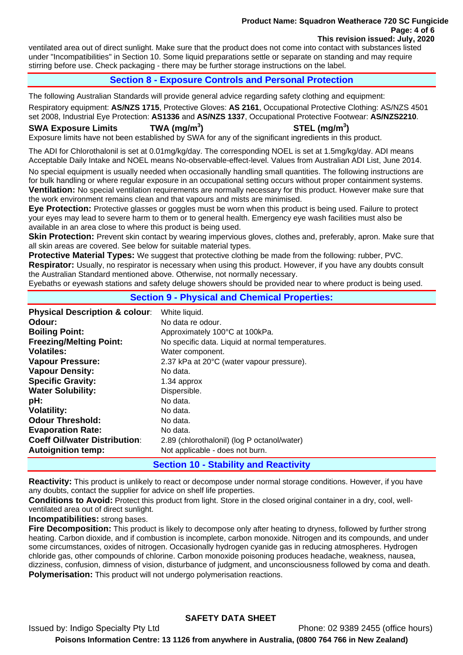#### **Product Name: Squadron Weatherace 720 SC Fungicide Page: 4 of 6 This revision issued: July, 2020**

ventilated area out of direct sunlight. Make sure that the product does not come into contact with substances listed under "Incompatibilities" in Section 10. Some liquid preparations settle or separate on standing and may require stirring before use. Check packaging - there may be further storage instructions on the label.

# **Section 8 - Exposure Controls and Personal Protection**

The following Australian Standards will provide general advice regarding safety clothing and equipment:

Respiratory equipment: **AS/NZS 1715**, Protective Gloves: **AS 2161**, Occupational Protective Clothing: AS/NZS 4501 set 2008, Industrial Eye Protection: **AS1336** and **AS/NZS 1337**, Occupational Protective Footwear: **AS/NZS2210**.

**SWA Exposure Limits TWA (mg/m<sup>3</sup>**

**) STEL (mg/m<sup>3</sup> )** 

Exposure limits have not been established by SWA for any of the significant ingredients in this product.

The ADI for Chlorothalonil is set at 0.01mg/kg/day. The corresponding NOEL is set at 1.5mg/kg/day. ADI means Acceptable Daily Intake and NOEL means No-observable-effect-level. Values from Australian ADI List, June 2014.

No special equipment is usually needed when occasionally handling small quantities. The following instructions are for bulk handling or where regular exposure in an occupational setting occurs without proper containment systems. **Ventilation:** No special ventilation requirements are normally necessary for this product. However make sure that the work environment remains clean and that vapours and mists are minimised.

**Eye Protection:** Protective glasses or goggles must be worn when this product is being used. Failure to protect your eyes may lead to severe harm to them or to general health. Emergency eye wash facilities must also be available in an area close to where this product is being used.

**Skin Protection:** Prevent skin contact by wearing impervious gloves, clothes and, preferably, apron. Make sure that all skin areas are covered. See below for suitable material types.

**Protective Material Types:** We suggest that protective clothing be made from the following: rubber, PVC.

**Respirator:** Usually, no respirator is necessary when using this product. However, if you have any doubts consult the Australian Standard mentioned above. Otherwise, not normally necessary.

Eyebaths or eyewash stations and safety deluge showers should be provided near to where product is being used.

## **Section 9 - Physical and Chemical Properties:**

| <b>Physical Description &amp; colour:</b> | White liquid.                                    |
|-------------------------------------------|--------------------------------------------------|
| Odour:                                    | No data re odour.                                |
| <b>Boiling Point:</b>                     | Approximately 100°C at 100kPa.                   |
| <b>Freezing/Melting Point:</b>            | No specific data. Liquid at normal temperatures. |
| <b>Volatiles:</b>                         | Water component.                                 |
| <b>Vapour Pressure:</b>                   | 2.37 kPa at 20°C (water vapour pressure).        |
| <b>Vapour Density:</b>                    | No data.                                         |
| <b>Water Solubility:</b>                  | Dispersible.                                     |
| pH:                                       | No data.                                         |
| <b>Volatility:</b>                        | No data.                                         |
| <b>Odour Threshold:</b>                   | No data.                                         |
| <b>Evaporation Rate:</b>                  | No data.                                         |
| <b>Coeff Oil/water Distribution:</b>      | 2.89 (chlorothalonil) (log P octanol/water)      |
| <b>Autoignition temp:</b>                 | Not applicable - does not burn.                  |

**Section 10 - Stability and Reactivity** 

**Reactivity:** This product is unlikely to react or decompose under normal storage conditions. However, if you have any doubts, contact the supplier for advice on shelf life properties.

**Conditions to Avoid:** Protect this product from light. Store in the closed original container in a dry, cool, wellventilated area out of direct sunlight.

**Incompatibilities:** strong bases.

**Fire Decomposition:** This product is likely to decompose only after heating to dryness, followed by further strong heating. Carbon dioxide, and if combustion is incomplete, carbon monoxide. Nitrogen and its compounds, and under some circumstances, oxides of nitrogen. Occasionally hydrogen cyanide gas in reducing atmospheres. Hydrogen chloride gas, other compounds of chlorine. Carbon monoxide poisoning produces headache, weakness, nausea, dizziness, confusion, dimness of vision, disturbance of judgment, and unconsciousness followed by coma and death. **Polymerisation:** This product will not undergo polymerisation reactions.

# **SAFETY DATA SHEET**

Issued by: Indigo Specialty Pty Ltd Phone: 02 9389 2455 (office hours)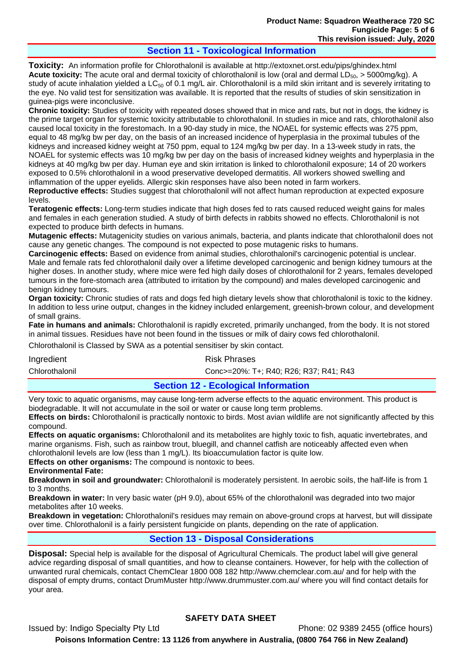# **Section 11 - Toxicological Information**

**Toxicity:** An information profile for Chlorothalonil is available at http://extoxnet.orst.edu/pips/ghindex.html Acute toxicity: The acute oral and dermal toxicity of chlorothalonil is low (oral and dermal LD<sub>50</sub>, > 5000mg/kg). A study of acute inhalation yielded a LC $_{50}$  of 0.1 mg/L air. Chlorothalonil is a mild skin irritant and is severely irritating to the eye. No valid test for sensitization was available. It is reported that the results of studies of skin sensitization in guinea-pigs were inconclusive.

**Chronic toxicity:** Studies of toxicity with repeated doses showed that in mice and rats, but not in dogs, the kidney is the prime target organ for systemic toxicity attributable to chlorothalonil. In studies in mice and rats, chlorothalonil also caused local toxicity in the forestomach. In a 90-day study in mice, the NOAEL for systemic effects was 275 ppm, equal to 48 mg/kg bw per day, on the basis of an increased incidence of hyperplasia in the proximal tubules of the kidneys and increased kidney weight at 750 ppm, equal to 124 mg/kg bw per day. In a 13-week study in rats, the NOAEL for systemic effects was 10 mg/kg bw per day on the basis of increased kidney weights and hyperplasia in the kidneys at 40 mg/kg bw per day. Human eye and skin irritation is linked to chlorothalonil exposure; 14 of 20 workers exposed to 0.5% chlorothalonil in a wood preservative developed dermatitis. All workers showed swelling and inflammation of the upper eyelids. Allergic skin responses have also been noted in farm workers.

**Reproductive effects:** Studies suggest that chlorothalonil will not affect human reproduction at expected exposure levels.

**Teratogenic effects:** Long-term studies indicate that high doses fed to rats caused reduced weight gains for males and females in each generation studied. A study of birth defects in rabbits showed no effects. Chlorothalonil is not expected to produce birth defects in humans.

**Mutagenic effects:** Mutagenicity studies on various animals, bacteria, and plants indicate that chlorothalonil does not cause any genetic changes. The compound is not expected to pose mutagenic risks to humans.

**Carcinogenic effects:** Based on evidence from animal studies, chlorothalonil's carcinogenic potential is unclear. Male and female rats fed chlorothalonil daily over a lifetime developed carcinogenic and benign kidney tumours at the higher doses. In another study, where mice were fed high daily doses of chlorothalonil for 2 years, females developed tumours in the fore-stomach area (attributed to irritation by the compound) and males developed carcinogenic and benign kidney tumours.

**Organ toxicity:** Chronic studies of rats and dogs fed high dietary levels show that chlorothalonil is toxic to the kidney. In addition to less urine output, changes in the kidney included enlargement, greenish-brown colour, and development of small grains.

**Fate in humans and animals:** Chlorothalonil is rapidly excreted, primarily unchanged, from the body. It is not stored in animal tissues. Residues have not been found in the tissues or milk of dairy cows fed chlorothalonil.

Chlorothalonil is Classed by SWA as a potential sensitiser by skin contact.

Ingredient **Risk Phrases** 

Chlorothalonil Conc>=20%: T+; R40; R26; R37; R41; R43

**Section 12 - Ecological Information** 

Very toxic to aquatic organisms, may cause long-term adverse effects to the aquatic environment. This product is biodegradable. It will not accumulate in the soil or water or cause long term problems.

**Effects on birds:** Chlorothalonil is practically nontoxic to birds. Most avian wildlife are not significantly affected by this compound.

**Effects on aquatic organisms:** Chlorothalonil and its metabolites are highly toxic to fish, aquatic invertebrates, and marine organisms. Fish, such as rainbow trout, bluegill, and channel catfish are noticeably affected even when chlorothalonil levels are low (less than 1 mg/L). Its bioaccumulation factor is quite low.

**Effects on other organisms:** The compound is nontoxic to bees.

**Environmental Fate:** 

**Breakdown in soil and groundwater:** Chlorothalonil is moderately persistent. In aerobic soils, the half-life is from 1 to 3 months.

**Breakdown in water:** In very basic water (pH 9.0), about 65% of the chlorothalonil was degraded into two major metabolites after 10 weeks.

**Breakdown in vegetation:** Chlorothalonil's residues may remain on above-ground crops at harvest, but will dissipate over time. Chlorothalonil is a fairly persistent fungicide on plants, depending on the rate of application.

## **Section 13 - Disposal Considerations**

**Disposal:** Special help is available for the disposal of Agricultural Chemicals. The product label will give general advice regarding disposal of small quantities, and how to cleanse containers. However, for help with the collection of unwanted rural chemicals, contact ChemClear 1800 008 182 http://www.chemclear.com.au/ and for help with the disposal of empty drums, contact DrumMuster http://www.drummuster.com.au/ where you will find contact details for your area.

# **SAFETY DATA SHEET**

Issued by: Indigo Specialty Pty Ltd Phone: 02 9389 2455 (office hours)